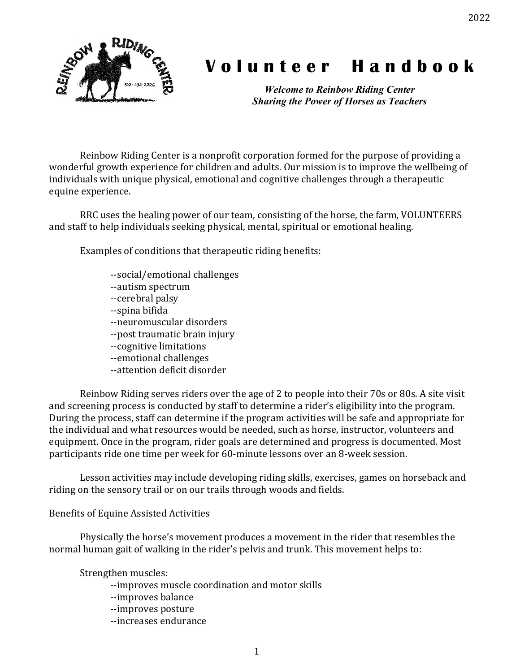

# **V o l u n t e e r H a n d b o o k**

*Welcome to Reinbow Riding Center Sharing the Power of Horses as Teachers*

Reinbow Riding Center is a nonprofit corporation formed for the purpose of providing a wonderful growth experience for children and adults. Our mission is to improve the wellbeing of individuals with unique physical, emotional and cognitive challenges through a therapeutic equine experience.

RRC uses the healing power of our team, consisting of the horse, the farm, VOLUNTEERS and staff to help individuals seeking physical, mental, spiritual or emotional healing.

Examples of conditions that therapeutic riding benefits:

- --social/emotional challenges --autism spectrum --cerebral palsy --spina bifida --neuromuscular disorders --post traumatic brain injury --cognitive limitations --emotional challenges --attention deficit disorder
- 

Reinbow Riding serves riders over the age of 2 to people into their 70s or 80s. A site visit and screening process is conducted by staff to determine a rider's eligibility into the program. During the process, staff can determine if the program activities will be safe and appropriate for the individual and what resources would be needed, such as horse, instructor, volunteers and equipment. Once in the program, rider goals are determined and progress is documented. Most participants ride one time per week for 60-minute lessons over an 8-week session.

Lesson activities may include developing riding skills, exercises, games on horseback and riding on the sensory trail or on our trails through woods and fields.

Benefits of Equine Assisted Activities

Physically the horse's movement produces a movement in the rider that resembles the normal human gait of walking in the rider's pelvis and trunk. This movement helps to:

Strengthen muscles:

- --improves muscle coordination and motor skills
	- --improves balance
	- --improves posture
	- --increases endurance

2022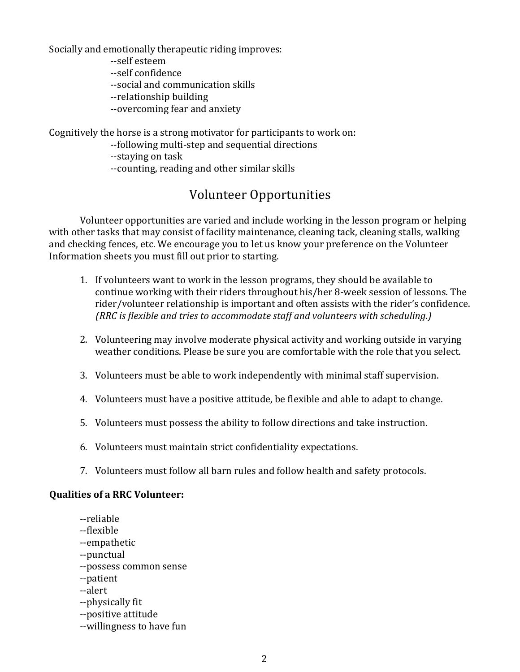Socially and emotionally therapeutic riding improves:

- --self esteem
- --self confidence
- --social and communication skills
- --relationship building
- --overcoming fear and anxiety

Cognitively the horse is a strong motivator for participants to work on:

- --following multi-step and sequential directions
- --staying on task
- --counting, reading and other similar skills

# Volunteer Opportunities

Volunteer opportunities are varied and include working in the lesson program or helping with other tasks that may consist of facility maintenance, cleaning tack, cleaning stalls, walking and checking fences, etc. We encourage you to let us know your preference on the Volunteer Information sheets you must fill out prior to starting.

- 1. If volunteers want to work in the lesson programs, they should be available to continue working with their riders throughout his/her 8-week session of lessons. The rider/volunteer relationship is important and often assists with the rider's confidence. *(RRC* is flexible and tries to accommodate staff and volunteers with scheduling.)
- 2. Volunteering may involve moderate physical activity and working outside in varying weather conditions. Please be sure you are comfortable with the role that you select.
- 3. Volunteers must be able to work independently with minimal staff supervision.
- 4. Volunteers must have a positive attitude, be flexible and able to adapt to change.
- 5. Volunteers must possess the ability to follow directions and take instruction.
- 6. Volunteers must maintain strict confidentiality expectations.
- 7. Volunteers must follow all barn rules and follow health and safety protocols.

## **Qualities of a RRC Volunteer:**

--reliable --flexible --empathetic --punctual --possess common sense --patient --alert --physically fit --positive attitude --willingness to have fun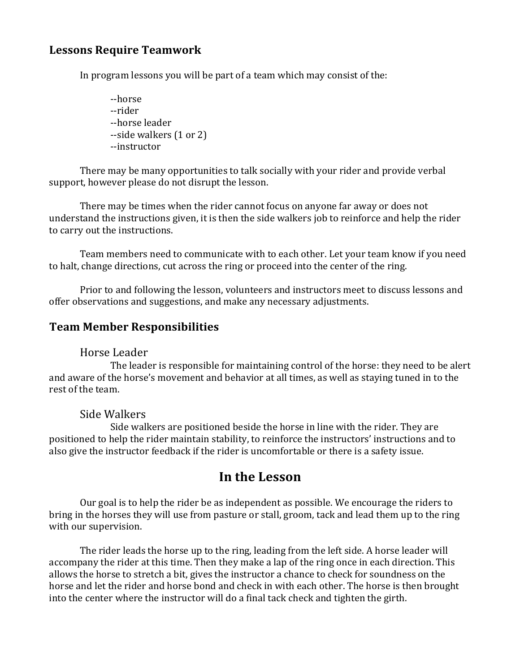# **Lessons Require Teamwork**

In program lessons you will be part of a team which may consist of the:

--horse --rider --horse leader  $-$ side walkers  $(1$  or  $2)$ --instructor

There may be many opportunities to talk socially with your rider and provide verbal support, however please do not disrupt the lesson.

There may be times when the rider cannot focus on anyone far away or does not understand the instructions given, it is then the side walkers job to reinforce and help the rider to carry out the instructions.

Team members need to communicate with to each other. Let your team know if you need to halt, change directions, cut across the ring or proceed into the center of the ring.

Prior to and following the lesson, volunteers and instructors meet to discuss lessons and offer observations and suggestions, and make any necessary adjustments.

# **Team Member Responsibilities**

## Horse Leader

The leader is responsible for maintaining control of the horse: they need to be alert and aware of the horse's movement and behavior at all times, as well as staying tuned in to the rest of the team.

## Side Walkers

Side walkers are positioned beside the horse in line with the rider. They are positioned to help the rider maintain stability, to reinforce the instructors' instructions and to also give the instructor feedback if the rider is uncomfortable or there is a safety issue.

# **In the Lesson**

Our goal is to help the rider be as independent as possible. We encourage the riders to bring in the horses they will use from pasture or stall, groom, tack and lead them up to the ring with our supervision.

The rider leads the horse up to the ring, leading from the left side. A horse leader will accompany the rider at this time. Then they make a lap of the ring once in each direction. This allows the horse to stretch a bit, gives the instructor a chance to check for soundness on the horse and let the rider and horse bond and check in with each other. The horse is then brought into the center where the instructor will do a final tack check and tighten the girth.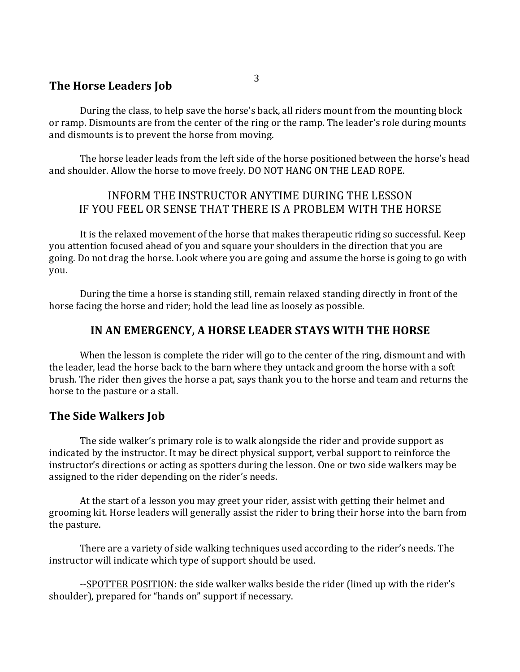# **The Horse Leaders Job**

During the class, to help save the horse's back, all riders mount from the mounting block or ramp. Dismounts are from the center of the ring or the ramp. The leader's role during mounts and dismounts is to prevent the horse from moving.

The horse leader leads from the left side of the horse positioned between the horse's head and shoulder. Allow the horse to move freely. DO NOT HANG ON THE LEAD ROPE.

# INFORM THE INSTRUCTOR ANYTIME DURING THE LESSON IF YOU FEEL OR SENSE THAT THERE IS A PROBLEM WITH THE HORSE

It is the relaxed movement of the horse that makes therapeutic riding so successful. Keep you attention focused ahead of you and square your shoulders in the direction that you are going. Do not drag the horse. Look where you are going and assume the horse is going to go with you.

During the time a horse is standing still, remain relaxed standing directly in front of the horse facing the horse and rider; hold the lead line as loosely as possible.

# IN AN EMERGENCY, A HORSE LEADER STAYS WITH THE HORSE

When the lesson is complete the rider will go to the center of the ring, dismount and with the leader, lead the horse back to the barn where they untack and groom the horse with a soft brush. The rider then gives the horse a pat, says thank you to the horse and team and returns the horse to the pasture or a stall.

# **The Side Walkers Job**

The side walker's primary role is to walk alongside the rider and provide support as indicated by the instructor. It may be direct physical support, verbal support to reinforce the instructor's directions or acting as spotters during the lesson. One or two side walkers may be assigned to the rider depending on the rider's needs.

At the start of a lesson you may greet your rider, assist with getting their helmet and grooming kit. Horse leaders will generally assist the rider to bring their horse into the barn from the pasture.

There are a variety of side walking techniques used according to the rider's needs. The instructor will indicate which type of support should be used.

--SPOTTER POSITION: the side walker walks beside the rider (lined up with the rider's shoulder), prepared for "hands on" support if necessary.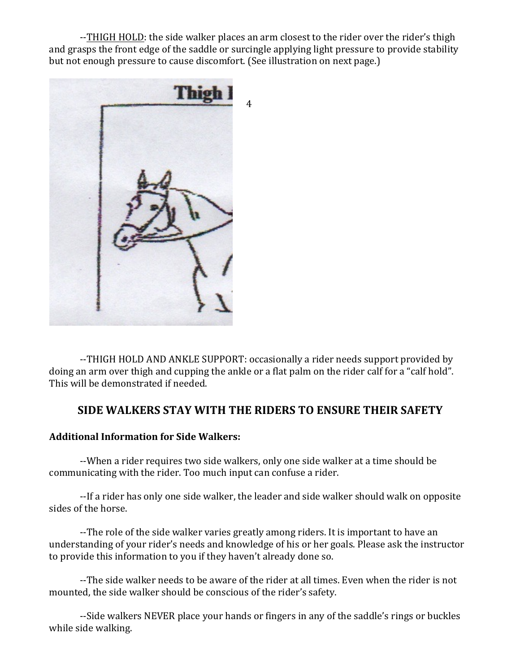--THIGH HOLD: the side walker places an arm closest to the rider over the rider's thigh and grasps the front edge of the saddle or surcingle applying light pressure to provide stability but not enough pressure to cause discomfort. (See illustration on next page.)



--THIGH HOLD AND ANKLE SUPPORT: occasionally a rider needs support provided by doing an arm over thigh and cupping the ankle or a flat palm on the rider calf for a "calf hold". This will be demonstrated if needed.

# **SIDE WALKERS STAY WITH THE RIDERS TO ENSURE THEIR SAFETY**

## **Additional Information for Side Walkers:**

--When a rider requires two side walkers, only one side walker at a time should be communicating with the rider. Too much input can confuse a rider.

--If a rider has only one side walker, the leader and side walker should walk on opposite sides of the horse.

--The role of the side walker varies greatly among riders. It is important to have an understanding of your rider's needs and knowledge of his or her goals. Please ask the instructor to provide this information to you if they haven't already done so.

--The side walker needs to be aware of the rider at all times. Even when the rider is not mounted, the side walker should be conscious of the rider's safety.

--Side walkers NEVER place your hands or fingers in any of the saddle's rings or buckles while side walking.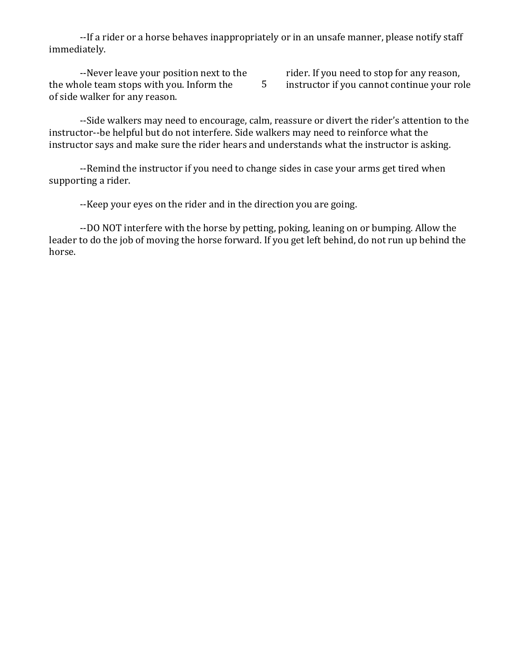--If a rider or a horse behaves inappropriately or in an unsafe manner, please notify staff immediately.

the whole team stops with you. Inform the  $\overline{5}$  instructor if you cannot continue your role of side walker for any reason.

--Never leave your position next to the rider. If you need to stop for any reason,

--Side walkers may need to encourage, calm, reassure or divert the rider's attention to the instructor--be helpful but do not interfere. Side walkers may need to reinforce what the instructor says and make sure the rider hears and understands what the instructor is asking.

5

--Remind the instructor if you need to change sides in case your arms get tired when supporting a rider.

--Keep your eyes on the rider and in the direction you are going.

--DO NOT interfere with the horse by petting, poking, leaning on or bumping. Allow the leader to do the job of moving the horse forward. If you get left behind, do not run up behind the horse.